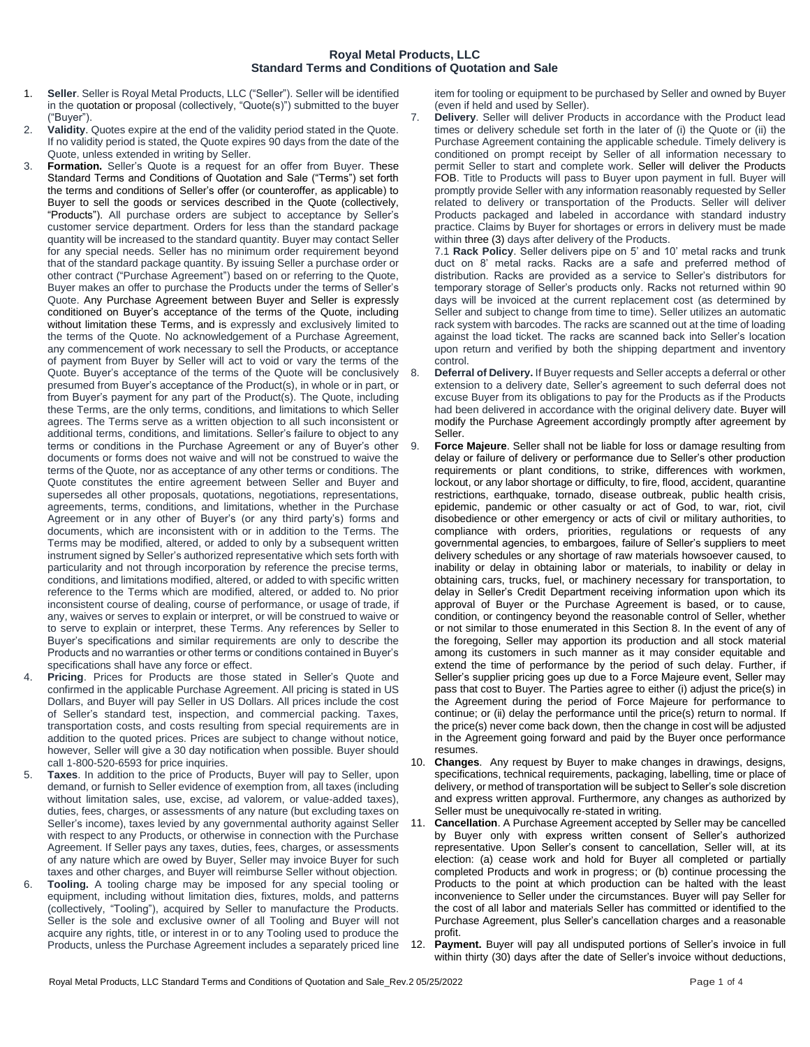## **Royal Metal Products, LLC Standard Terms and Conditions of Quotation and Sale**

- 1. **Seller**. Seller is Royal Metal Products, LLC ("Seller"). Seller will be identified in the quotation or proposal (collectively, "Quote(s)") submitted to the buyer ("Buyer").
- 2. **Validity**. Quotes expire at the end of the validity period stated in the Quote. If no validity period is stated, the Quote expires 90 days from the date of the Quote, unless extended in writing by Seller.
- 3. **Formation.** Seller's Quote is a request for an offer from Buyer. These Standard Terms and Conditions of Quotation and Sale ("Terms") set forth the terms and conditions of Seller's offer (or counteroffer, as applicable) to Buyer to sell the goods or services described in the Quote (collectively, "Products"). All purchase orders are subject to acceptance by Seller's customer service department. Orders for less than the standard package quantity will be increased to the standard quantity. Buyer may contact Seller for any special needs. Seller has no minimum order requirement beyond that of the standard package quantity. By issuing Seller a purchase order or other contract ("Purchase Agreement") based on or referring to the Quote, Buyer makes an offer to purchase the Products under the terms of Seller's Quote. Any Purchase Agreement between Buyer and Seller is expressly conditioned on Buyer's acceptance of the terms of the Quote, including without limitation these Terms, and is expressly and exclusively limited to the terms of the Quote. No acknowledgement of a Purchase Agreement, any commencement of work necessary to sell the Products, or acceptance of payment from Buyer by Seller will act to void or vary the terms of the Quote. Buyer's acceptance of the terms of the Quote will be conclusively presumed from Buyer's acceptance of the Product(s), in whole or in part, or from Buyer's payment for any part of the Product(s). The Quote, including these Terms, are the only terms, conditions, and limitations to which Seller agrees. The Terms serve as a written objection to all such inconsistent or additional terms, conditions, and limitations. Seller's failure to object to any terms or conditions in the Purchase Agreement or any of Buyer's other documents or forms does not waive and will not be construed to waive the terms of the Quote, nor as acceptance of any other terms or conditions. The Quote constitutes the entire agreement between Seller and Buyer and supersedes all other proposals, quotations, negotiations, representations, agreements, terms, conditions, and limitations, whether in the Purchase Agreement or in any other of Buyer's (or any third party's) forms and documents, which are inconsistent with or in addition to the Terms. The Terms may be modified, altered, or added to only by a subsequent written instrument signed by Seller's authorized representative which sets forth with particularity and not through incorporation by reference the precise terms, conditions, and limitations modified, altered, or added to with specific written reference to the Terms which are modified, altered, or added to. No prior inconsistent course of dealing, course of performance, or usage of trade, if any, waives or serves to explain or interpret, or will be construed to waive or to serve to explain or interpret, these Terms. Any references by Seller to Buyer's specifications and similar requirements are only to describe the Products and no warranties or other terms or conditions contained in Buyer's specifications shall have any force or effect.
- Pricing. Prices for Products are those stated in Seller's Quote and confirmed in the applicable Purchase Agreement. All pricing is stated in US Dollars, and Buyer will pay Seller in US Dollars. All prices include the cost of Seller's standard test, inspection, and commercial packing. Taxes, transportation costs, and costs resulting from special requirements are in addition to the quoted prices. Prices are subject to change without notice, however, Seller will give a 30 day notification when possible. Buyer should call 1-800-520-6593 for price inquiries.
- 5. **Taxes**. In addition to the price of Products, Buyer will pay to Seller, upon demand, or furnish to Seller evidence of exemption from, all taxes (including without limitation sales, use, excise, ad valorem, or value-added taxes), duties, fees, charges, or assessments of any nature (but excluding taxes on Seller's income), taxes levied by any governmental authority against Seller with respect to any Products, or otherwise in connection with the Purchase Agreement. If Seller pays any taxes, duties, fees, charges, or assessments of any nature which are owed by Buyer, Seller may invoice Buyer for such taxes and other charges, and Buyer will reimburse Seller without objection.
- 6. **Tooling.** A tooling charge may be imposed for any special tooling or equipment, including without limitation dies, fixtures, molds, and patterns (collectively, "Tooling"), acquired by Seller to manufacture the Products. Seller is the sole and exclusive owner of all Tooling and Buyer will not acquire any rights, title, or interest in or to any Tooling used to produce the Products, unless the Purchase Agreement includes a separately priced line

item for tooling or equipment to be purchased by Seller and owned by Buyer (even if held and used by Seller).

7. **Delivery**. Seller will deliver Products in accordance with the Product lead times or delivery schedule set forth in the later of (i) the Quote or (ii) the Purchase Agreement containing the applicable schedule. Timely delivery is conditioned on prompt receipt by Seller of all information necessary to permit Seller to start and complete work. Seller will deliver the Products FOB. Title to Products will pass to Buyer upon payment in full. Buyer will promptly provide Seller with any information reasonably requested by Seller related to delivery or transportation of the Products. Seller will deliver Products packaged and labeled in accordance with standard industry practice. Claims by Buyer for shortages or errors in delivery must be made within three (3) days after delivery of the Products.

7.1 **Rack Policy**. Seller delivers pipe on 5' and 10' metal racks and trunk duct on 8' metal racks. Racks are a safe and preferred method of distribution. Racks are provided as a service to Seller's distributors for temporary storage of Seller's products only. Racks not returned within 90 days will be invoiced at the current replacement cost (as determined by Seller and subject to change from time to time). Seller utilizes an automatic rack system with barcodes. The racks are scanned out at the time of loading against the load ticket. The racks are scanned back into Seller's location upon return and verified by both the shipping department and inventory control.

- 8. **Deferral of Delivery.** If Buyer requests and Seller accepts a deferral or other extension to a delivery date, Seller's agreement to such deferral does not excuse Buyer from its obligations to pay for the Products as if the Products had been delivered in accordance with the original delivery date. Buyer will modify the Purchase Agreement accordingly promptly after agreement by Seller.
- Force Majeure. Seller shall not be liable for loss or damage resulting from delay or failure of delivery or performance due to Seller's other production requirements or plant conditions, to strike, differences with workmen, lockout, or any labor shortage or difficulty, to fire, flood, accident, quarantine restrictions, earthquake, tornado, disease outbreak, public health crisis, epidemic, pandemic or other casualty or act of God, to war, riot, civil disobedience or other emergency or acts of civil or military authorities, to compliance with orders, priorities, regulations or requests of any governmental agencies, to embargoes, failure of Seller's suppliers to meet delivery schedules or any shortage of raw materials howsoever caused, to inability or delay in obtaining labor or materials, to inability or delay in obtaining cars, trucks, fuel, or machinery necessary for transportation, to delay in Seller's Credit Department receiving information upon which its approval of Buyer or the Purchase Agreement is based, or to cause, condition, or contingency beyond the reasonable control of Seller, whether or not similar to those enumerated in this Section 8. In the event of any of the foregoing, Seller may apportion its production and all stock material among its customers in such manner as it may consider equitable and extend the time of performance by the period of such delay. Further, if Seller's supplier pricing goes up due to a Force Majeure event, Seller may pass that cost to Buyer. The Parties agree to either (i) adjust the price(s) in the Agreement during the period of Force Majeure for performance to continue; or (ii) delay the performance until the price(s) return to normal. If the price(s) never come back down, then the change in cost will be adjusted in the Agreement going forward and paid by the Buyer once performance resumes.
- 10. **Changes**. Any request by Buyer to make changes in drawings, designs, specifications, technical requirements, packaging, labelling, time or place of delivery, or method of transportation will be subject to Seller's sole discretion and express written approval. Furthermore, any changes as authorized by Seller must be unequivocally re-stated in writing.
- 11. **Cancellation**. A Purchase Agreement accepted by Seller may be cancelled by Buyer only with express written consent of Seller's authorized representative. Upon Seller's consent to cancellation, Seller will, at its election: (a) cease work and hold for Buyer all completed or partially completed Products and work in progress; or (b) continue processing the Products to the point at which production can be halted with the least inconvenience to Seller under the circumstances. Buyer will pay Seller for the cost of all labor and materials Seller has committed or identified to the Purchase Agreement, plus Seller's cancellation charges and a reasonable profit.
- 12. **Payment.** Buyer will pay all undisputed portions of Seller's invoice in full within thirty (30) days after the date of Seller's invoice without deductions,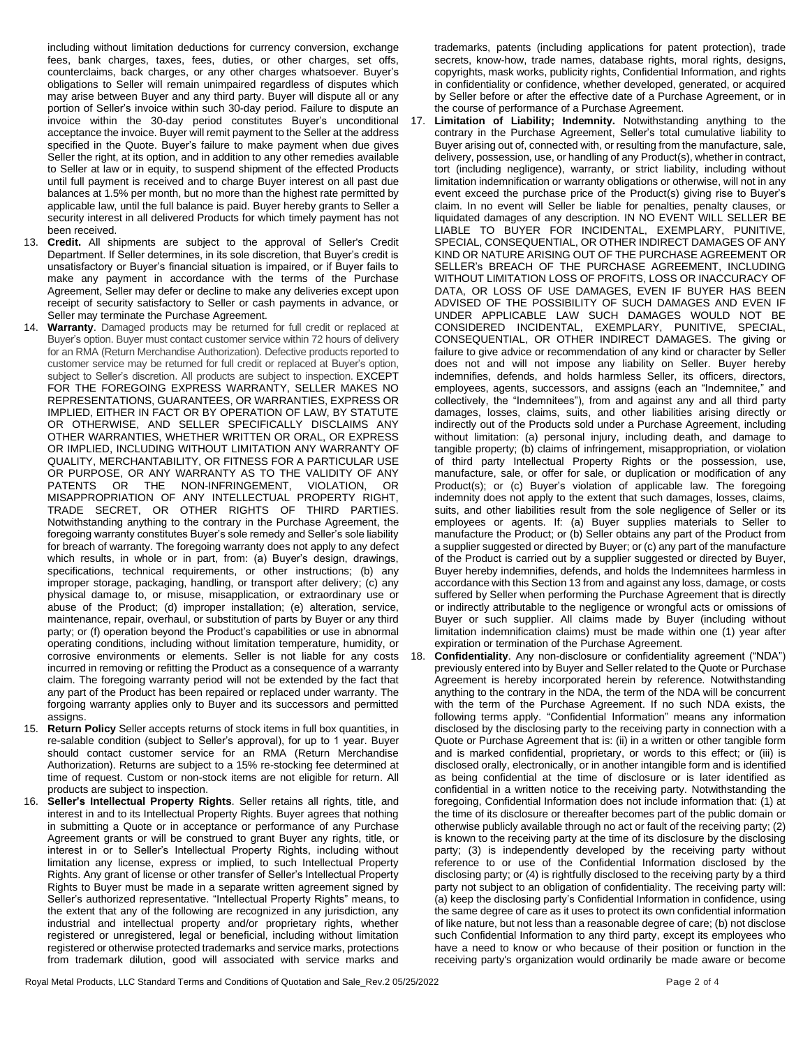including without limitation deductions for currency conversion, exchange fees, bank charges, taxes, fees, duties, or other charges, set offs, counterclaims, back charges, or any other charges whatsoever. Buyer's obligations to Seller will remain unimpaired regardless of disputes which may arise between Buyer and any third party. Buyer will dispute all or any portion of Seller's invoice within such 30-day period. Failure to dispute an invoice within the 30-day period constitutes Buyer's unconditional acceptance the invoice. Buyer will remit payment to the Seller at the address specified in the Quote. Buyer's failure to make payment when due gives Seller the right, at its option, and in addition to any other remedies available to Seller at law or in equity, to suspend shipment of the effected Products until full payment is received and to charge Buyer interest on all past due balances at 1.5% per month, but no more than the highest rate permitted by applicable law, until the full balance is paid. Buyer hereby grants to Seller a security interest in all delivered Products for which timely payment has not been received.

- 13. **Credit.** All shipments are subject to the approval of Seller's Credit Department. If Seller determines, in its sole discretion, that Buyer's credit is unsatisfactory or Buyer's financial situation is impaired, or if Buyer fails to make any payment in accordance with the terms of the Purchase Agreement, Seller may defer or decline to make any deliveries except upon receipt of security satisfactory to Seller or cash payments in advance, or Seller may terminate the Purchase Agreement.
- 14. **Warranty**. Damaged products may be returned for full credit or replaced at Buyer's option. Buyer must contact customer service within 72 hours of delivery for an RMA (Return Merchandise Authorization). Defective products reported to customer service may be returned for full credit or replaced at Buyer's option, subject to Seller's discretion. All products are subject to inspection. EXCEPT FOR THE FOREGOING EXPRESS WARRANTY, SELLER MAKES NO REPRESENTATIONS, GUARANTEES, OR WARRANTIES, EXPRESS OR IMPLIED, EITHER IN FACT OR BY OPERATION OF LAW, BY STATUTE OR OTHERWISE, AND SELLER SPECIFICALLY DISCLAIMS ANY OTHER WARRANTIES, WHETHER WRITTEN OR ORAL, OR EXPRESS OR IMPLIED, INCLUDING WITHOUT LIMITATION ANY WARRANTY OF QUALITY, MERCHANTABILITY, OR FITNESS FOR A PARTICULAR USE OR PURPOSE, OR ANY WARRANTY AS TO THE VALIDITY OF ANY PATENTS OR THE NON-INFRINGEMENT. VIOLATION, OR PATENTS OR THE NON-INFRINGEMENT, VIOLATION, OR MISAPPROPRIATION OF ANY INTELLECTUAL PROPERTY RIGHT, TRADE SECRET, OR OTHER RIGHTS OF THIRD PARTIES. Notwithstanding anything to the contrary in the Purchase Agreement, the foregoing warranty constitutes Buyer's sole remedy and Seller's sole liability for breach of warranty. The foregoing warranty does not apply to any defect which results, in whole or in part, from: (a) Buyer's design, drawings, specifications, technical requirements, or other instructions; (b) any improper storage, packaging, handling, or transport after delivery; (c) any physical damage to, or misuse, misapplication, or extraordinary use or abuse of the Product; (d) improper installation; (e) alteration, service, maintenance, repair, overhaul, or substitution of parts by Buyer or any third party; or (f) operation beyond the Product's capabilities or use in abnormal operating conditions, including without limitation temperature, humidity, or corrosive environments or elements. Seller is not liable for any costs incurred in removing or refitting the Product as a consequence of a warranty claim. The foregoing warranty period will not be extended by the fact that any part of the Product has been repaired or replaced under warranty. The forgoing warranty applies only to Buyer and its successors and permitted assigns.
- 15. **Return Policy** Seller accepts returns of stock items in full box quantities, in re-salable condition (subject to Seller's approval), for up to 1 year. Buyer should contact customer service for an RMA (Return Merchandise Authorization). Returns are subject to a 15% re-stocking fee determined at time of request. Custom or non-stock items are not eligible for return. All products are subject to inspection.
- 16. **Seller's Intellectual Property Rights**. Seller retains all rights, title, and interest in and to its Intellectual Property Rights. Buyer agrees that nothing in submitting a Quote or in acceptance or performance of any Purchase Agreement grants or will be construed to grant Buyer any rights, title, or interest in or to Seller's Intellectual Property Rights, including without limitation any license, express or implied, to such Intellectual Property Rights. Any grant of license or other transfer of Seller's Intellectual Property Rights to Buyer must be made in a separate written agreement signed by Seller's authorized representative. "Intellectual Property Rights" means, to the extent that any of the following are recognized in any jurisdiction, any industrial and intellectual property and/or proprietary rights, whether registered or unregistered, legal or beneficial, including without limitation registered or otherwise protected trademarks and service marks, protections from trademark dilution, good will associated with service marks and

trademarks, patents (including applications for patent protection), trade secrets, know-how, trade names, database rights, moral rights, designs, copyrights, mask works, publicity rights, Confidential Information, and rights in confidentiality or confidence, whether developed, generated, or acquired by Seller before or after the effective date of a Purchase Agreement, or in the course of performance of a Purchase Agreement.

17. **Limitation of Liability; Indemnity.** Notwithstanding anything to the contrary in the Purchase Agreement, Seller's total cumulative liability to Buyer arising out of, connected with, or resulting from the manufacture, sale, delivery, possession, use, or handling of any Product(s), whether in contract, tort (including negligence), warranty, or strict liability, including without limitation indemnification or warranty obligations or otherwise, will not in any event exceed the purchase price of the Product(s) giving rise to Buyer's claim. In no event will Seller be liable for penalties, penalty clauses, or liquidated damages of any description. IN NO EVENT WILL SELLER BE LIABLE TO BUYER FOR INCIDENTAL, EXEMPLARY, PUNITIVE, SPECIAL, CONSEQUENTIAL, OR OTHER INDIRECT DAMAGES OF ANY KIND OR NATURE ARISING OUT OF THE PURCHASE AGREEMENT OR SELLER's BREACH OF THE PURCHASE AGREEMENT, INCLUDING WITHOUT LIMITATION LOSS OF PROFITS, LOSS OR INACCURACY OF DATA, OR LOSS OF USE DAMAGES, EVEN IF BUYER HAS BEEN ADVISED OF THE POSSIBILITY OF SUCH DAMAGES AND EVEN IF UNDER APPLICABLE LAW SUCH DAMAGES WOULD NOT BE CONSIDERED INCIDENTAL, EXEMPLARY, PUNITIVE, SPECIAL, CONSEQUENTIAL, OR OTHER INDIRECT DAMAGES. The giving or failure to give advice or recommendation of any kind or character by Seller does not and will not impose any liability on Seller. Buyer hereby indemnifies, defends, and holds harmless Seller, its officers, directors, employees, agents, successors, and assigns (each an "Indemnitee," and collectively, the "Indemnitees"), from and against any and all third party damages, losses, claims, suits, and other liabilities arising directly or indirectly out of the Products sold under a Purchase Agreement, including without limitation: (a) personal injury, including death, and damage to tangible property; (b) claims of infringement, misappropriation, or violation of third party Intellectual Property Rights or the possession, use, manufacture, sale, or offer for sale, or duplication or modification of any Product(s); or (c) Buyer's violation of applicable law. The foregoing indemnity does not apply to the extent that such damages, losses, claims, suits, and other liabilities result from the sole negligence of Seller or its employees or agents. If: (a) Buyer supplies materials to Seller to manufacture the Product; or (b) Seller obtains any part of the Product from a supplier suggested or directed by Buyer; or (c) any part of the manufacture of the Product is carried out by a supplier suggested or directed by Buyer, Buyer hereby indemnifies, defends, and holds the Indemnitees harmless in accordance with this Section 13 from and against any loss, damage, or costs suffered by Seller when performing the Purchase Agreement that is directly or indirectly attributable to the negligence or wrongful acts or omissions of Buyer or such supplier. All claims made by Buyer (including without limitation indemnification claims) must be made within one (1) year after expiration or termination of the Purchase Agreement.

18. **Confidentiality**. Any non-disclosure or confidentiality agreement ("NDA") previously entered into by Buyer and Seller related to the Quote or Purchase Agreement is hereby incorporated herein by reference. Notwithstanding anything to the contrary in the NDA, the term of the NDA will be concurrent with the term of the Purchase Agreement. If no such NDA exists, the following terms apply. "Confidential Information" means any information disclosed by the disclosing party to the receiving party in connection with a Quote or Purchase Agreement that is: (ii) in a written or other tangible form and is marked confidential, proprietary, or words to this effect; or (iii) is disclosed orally, electronically, or in another intangible form and is identified as being confidential at the time of disclosure or is later identified as confidential in a written notice to the receiving party. Notwithstanding the foregoing, Confidential Information does not include information that: (1) at the time of its disclosure or thereafter becomes part of the public domain or otherwise publicly available through no act or fault of the receiving party; (2) is known to the receiving party at the time of its disclosure by the disclosing party; (3) is independently developed by the receiving party without reference to or use of the Confidential Information disclosed by the disclosing party; or (4) is rightfully disclosed to the receiving party by a third party not subject to an obligation of confidentiality. The receiving party will: (a) keep the disclosing party's Confidential Information in confidence, using the same degree of care as it uses to protect its own confidential information of like nature, but not less than a reasonable degree of care; (b) not disclose such Confidential Information to any third party, except its employees who have a need to know or who because of their position or function in the receiving party's organization would ordinarily be made aware or become

Royal Metal Products, LLC Standard Terms and Conditions of Quotation and Sale\_Rev.2 05/25/2022 Page 2 of 4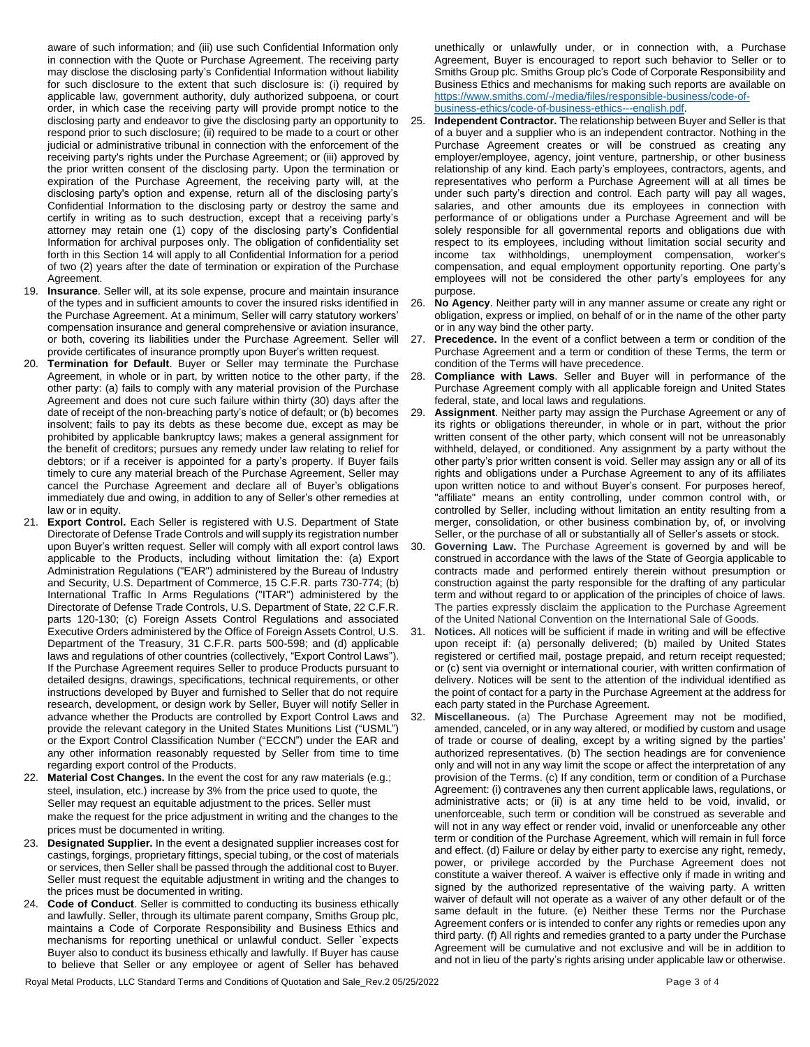aware of such information; and (iii) use such Confidential Information only in connection with the Quote or Purchase Agreement. The receiving party may disclose the disclosing party's Confidential Information without liability for such disclosure to the extent that such disclosure is: (i) required by applicable law, government authority, duly authorized subpoena, or court order, in which case the receiving party will provide prompt notice to the disclosing party and endeavor to give the disclosing party an opportunity to respond prior to such disclosure; (ii) required to be made to a court or other judicial or administrative tribunal in connection with the enforcement of the receiving party's rights under the Purchase Agreement; or (iii) approved by the prior written consent of the disclosing party. Upon the termination or expiration of the Purchase Agreement, the receiving party will, at the disclosing party's option and expense, return all of the disclosing party's Confidential Information to the disclosing party or destroy the same and certify in writing as to such destruction, except that a receiving party's attorney may retain one (1) copy of the disclosing party's Confidential Information for archival purposes only. The obligation of confidentiality set forth in this Section 14 will apply to all Confidential Information for a period of two (2) years after the date of termination or expiration of the Purchase Agreement.

- 19. **Insurance**. Seller will, at its sole expense, procure and maintain insurance of the types and in sufficient amounts to cover the insured risks identified in the Purchase Agreement. At a minimum, Seller will carry statutory workers' compensation insurance and general comprehensive or aviation insurance, or both, covering its liabilities under the Purchase Agreement. Seller will provide certificates of insurance promptly upon Buyer's written request.
- 20. **Termination for Default**. Buyer or Seller may terminate the Purchase Agreement, in whole or in part, by written notice to the other party, if the other party: (a) fails to comply with any material provision of the Purchase Agreement and does not cure such failure within thirty (30) days after the date of receipt of the non-breaching party's notice of default; or (b) becomes insolvent; fails to pay its debts as these become due, except as may be prohibited by applicable bankruptcy laws; makes a general assignment for the benefit of creditors; pursues any remedy under law relating to relief for debtors; or if a receiver is appointed for a party's property. If Buyer fails timely to cure any material breach of the Purchase Agreement, Seller may cancel the Purchase Agreement and declare all of Buyer's obligations immediately due and owing, in addition to any of Seller's other remedies at law or in equity.
- 21. **Export Control.** Each Seller is registered with U.S. Department of State Directorate of Defense Trade Controls and will supply its registration number upon Buyer's written request. Seller will comply with all export control laws applicable to the Products, including without limitation the: (a) Export Administration Regulations ("EAR") administered by the Bureau of Industry and Security, U.S. Department of Commerce, 15 C.F.R. parts 730-774; (b) International Traffic In Arms Regulations ("ITAR") administered by the Directorate of Defense Trade Controls, U.S. Department of State, 22 C.F.R. parts 120-130; (c) Foreign Assets Control Regulations and associated Executive Orders administered by the Office of Foreign Assets Control, U.S. Department of the Treasury, 31 C.F.R. parts 500-598; and (d) applicable laws and regulations of other countries (collectively, "Export Control Laws"). If the Purchase Agreement requires Seller to produce Products pursuant to detailed designs, drawings, specifications, technical requirements, or other instructions developed by Buyer and furnished to Seller that do not require research, development, or design work by Seller, Buyer will notify Seller in advance whether the Products are controlled by Export Control Laws and provide the relevant category in the United States Munitions List ("USML") or the Export Control Classification Number ("ECCN") under the EAR and any other information reasonably requested by Seller from time to time regarding export control of the Products.
- 22. **Material Cost Changes.** In the event the cost for any raw materials (e.g.; steel, insulation, etc.) increase by 3% from the price used to quote, the Seller may request an equitable adjustment to the prices. Seller must make the request for the price adjustment in writing and the changes to the prices must be documented in writing.
- 23. **Designated Supplier.** In the event a designated supplier increases cost for castings, forgings, proprietary fittings, special tubing, or the cost of materials or services, then Seller shall be passed through the additional cost to Buyer. Seller must request the equitable adjustment in writing and the changes to the prices must be documented in writing.
- 24. **Code of Conduct**. Seller is committed to conducting its business ethically and lawfully. Seller, through its ultimate parent company, Smiths Group plc, maintains a Code of Corporate Responsibility and Business Ethics and mechanisms for reporting unethical or unlawful conduct. Seller `expects Buyer also to conduct its business ethically and lawfully. If Buyer has cause to believe that Seller or any employee or agent of Seller has behaved

unethically or unlawfully under, or in connection with, a Purchase Agreement, Buyer is encouraged to report such behavior to Seller or to Smiths Group plc. Smiths Group plc's Code of Corporate Responsibility and Business Ethics and mechanisms for making such reports are available on [https://www.smiths.com/-/media/files/responsible-business/code-of](https://www.smiths.com/-/media/files/responsible-business/code-of-business-ethics/code-of-business-ethics---english.pdf)[business-ethics/code-of-business-ethics---english.pdf.](https://www.smiths.com/-/media/files/responsible-business/code-of-business-ethics/code-of-business-ethics---english.pdf)

- 25. **Independent Contractor.** The relationship between Buyer and Seller is that of a buyer and a supplier who is an independent contractor. Nothing in the Purchase Agreement creates or will be construed as creating any employer/employee, agency, joint venture, partnership, or other business relationship of any kind. Each party's employees, contractors, agents, and representatives who perform a Purchase Agreement will at all times be under such party's direction and control. Each party will pay all wages, salaries, and other amounts due its employees in connection with performance of or obligations under a Purchase Agreement and will be solely responsible for all governmental reports and obligations due with respect to its employees, including without limitation social security and income tax withholdings, unemployment compensation, worker's compensation, and equal employment opportunity reporting. One party's employees will not be considered the other party's employees for any purpose.
- 26. **No Agency**. Neither party will in any manner assume or create any right or obligation, express or implied, on behalf of or in the name of the other party or in any way bind the other party.
- 27. **Precedence.** In the event of a conflict between a term or condition of the Purchase Agreement and a term or condition of these Terms, the term or condition of the Terms will have precedence.
- 28. **Compliance with Laws**. Seller and Buyer will in performance of the Purchase Agreement comply with all applicable foreign and United States federal, state, and local laws and regulations.
- 29. **Assignment**. Neither party may assign the Purchase Agreement or any of its rights or obligations thereunder, in whole or in part, without the prior written consent of the other party, which consent will not be unreasonably withheld, delayed, or conditioned. Any assignment by a party without the other party's prior written consent is void. Seller may assign any or all of its rights and obligations under a Purchase Agreement to any of its affiliates upon written notice to and without Buyer's consent. For purposes hereof, "affiliate" means an entity controlling, under common control with, or controlled by Seller, including without limitation an entity resulting from a merger, consolidation, or other business combination by, of, or involving Seller, or the purchase of all or substantially all of Seller's assets or stock.
- 30. **Governing Law.** The Purchase Agreement is governed by and will be construed in accordance with the laws of the State of Georgia applicable to contracts made and performed entirely therein without presumption or construction against the party responsible for the drafting of any particular term and without regard to or application of the principles of choice of laws. The parties expressly disclaim the application to the Purchase Agreement of the United National Convention on the International Sale of Goods.
- Notices. All notices will be sufficient if made in writing and will be effective upon receipt if: (a) personally delivered; (b) mailed by United States registered or certified mail, postage prepaid, and return receipt requested; or (c) sent via overnight or international courier, with written confirmation of delivery. Notices will be sent to the attention of the individual identified as the point of contact for a party in the Purchase Agreement at the address for each party stated in the Purchase Agreement.
- 32. **Miscellaneous.** (a) The Purchase Agreement may not be modified, amended, canceled, or in any way altered, or modified by custom and usage of trade or course of dealing, except by a writing signed by the parties' authorized representatives. (b) The section headings are for convenience only and will not in any way limit the scope or affect the interpretation of any provision of the Terms. (c) If any condition, term or condition of a Purchase Agreement: (i) contravenes any then current applicable laws, regulations, or administrative acts; or (ii) is at any time held to be void, invalid, or unenforceable, such term or condition will be construed as severable and will not in any way effect or render void, invalid or unenforceable any other term or condition of the Purchase Agreement, which will remain in full force and effect. (d) Failure or delay by either party to exercise any right, remedy, power, or privilege accorded by the Purchase Agreement does not constitute a waiver thereof. A waiver is effective only if made in writing and signed by the authorized representative of the waiving party. A written waiver of default will not operate as a waiver of any other default or of the same default in the future. (e) Neither these Terms nor the Purchase Agreement confers or is intended to confer any rights or remedies upon any third party. (f) All rights and remedies granted to a party under the Purchase Agreement will be cumulative and not exclusive and will be in addition to and not in lieu of the party's rights arising under applicable law or otherwise.

Royal Metal Products, LLC Standard Terms and Conditions of Quotation and Sale Rev.2 05/25/2022 Page 3 of 4